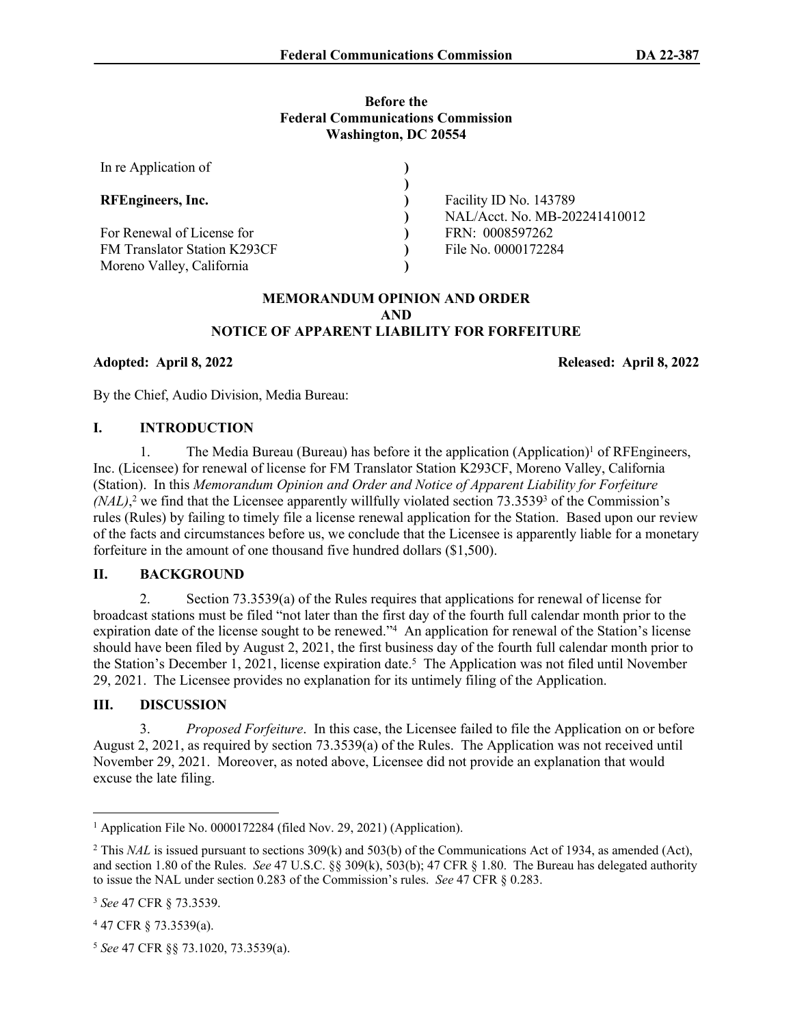#### **Before the Federal Communications Commission Washington, DC 20554**

| In re Application of         |                               |
|------------------------------|-------------------------------|
|                              |                               |
| RFEngineers, Inc.            | Facility ID No. 143789        |
|                              | NAL/Acct. No. MB-202241410012 |
| For Renewal of License for   | FRN: 0008597262               |
| FM Translator Station K293CF | File No. 0000172284           |
| Moreno Valley, California    |                               |

### **MEMORANDUM OPINION AND ORDER AND NOTICE OF APPARENT LIABILITY FOR FORFEITURE**

**Adopted: April 8, 2022 Released: April 8, 2022**

By the Chief, Audio Division, Media Bureau:

## **I. INTRODUCTION**

1. The Media Bureau (Bureau) has before it the application (Application)<sup>1</sup> of RFEngineers, Inc. (Licensee) for renewal of license for FM Translator Station K293CF, Moreno Valley, California (Station). In this *Memorandum Opinion and Order and Notice of Apparent Liability for Forfeiture*   $(NAL)$ <sup>2</sup>, we find that the Licensee apparently willfully violated section  $73.3539$ <sup>3</sup> of the Commission's rules (Rules) by failing to timely file a license renewal application for the Station. Based upon our review of the facts and circumstances before us, we conclude that the Licensee is apparently liable for a monetary forfeiture in the amount of one thousand five hundred dollars (\$1,500).

## **II. BACKGROUND**

2. Section 73.3539(a) of the Rules requires that applications for renewal of license for broadcast stations must be filed "not later than the first day of the fourth full calendar month prior to the expiration date of the license sought to be renewed."<sup>4</sup> An application for renewal of the Station's license should have been filed by August 2, 2021, the first business day of the fourth full calendar month prior to the Station's December 1, 2021, license expiration date.<sup>5</sup> The Application was not filed until November 29, 2021. The Licensee provides no explanation for its untimely filing of the Application.

# **III. DISCUSSION**

3. *Proposed Forfeiture*. In this case, the Licensee failed to file the Application on or before August 2, 2021, as required by section 73.3539(a) of the Rules. The Application was not received until November 29, 2021. Moreover, as noted above, Licensee did not provide an explanation that would excuse the late filing.

<sup>&</sup>lt;sup>1</sup> Application File No. 0000172284 (filed Nov. 29, 2021) (Application).

<sup>&</sup>lt;sup>2</sup> This *NAL* is issued pursuant to sections 309(k) and 503(b) of the Communications Act of 1934, as amended (Act), and section 1.80 of the Rules. *See* 47 U.S.C. §§ 309(k), 503(b); 47 CFR § 1.80. The Bureau has delegated authority to issue the NAL under section 0.283 of the Commission's rules. *See* 47 CFR § 0.283.

<sup>3</sup> *See* 47 CFR § 73.3539.

<sup>4</sup> 47 CFR § 73.3539(a).

<sup>5</sup> *See* 47 CFR §§ 73.1020, 73.3539(a).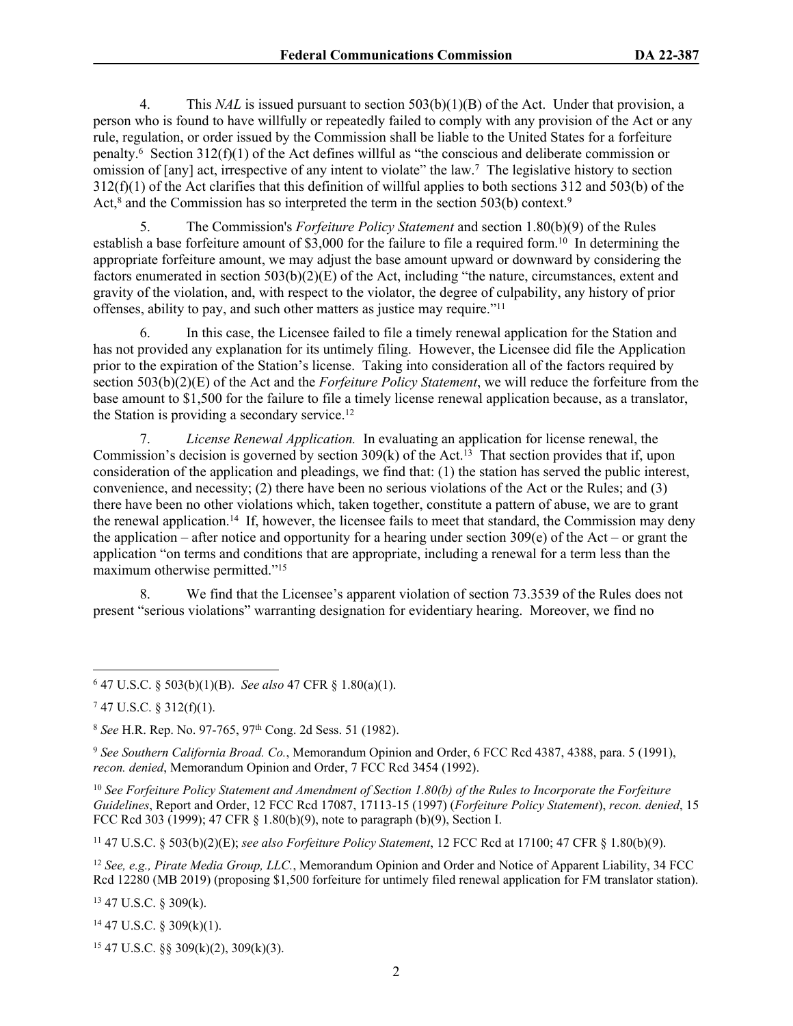4. This *NAL* is issued pursuant to section 503(b)(1)(B) of the Act. Under that provision, a person who is found to have willfully or repeatedly failed to comply with any provision of the Act or any rule, regulation, or order issued by the Commission shall be liable to the United States for a forfeiture penalty.<sup>6</sup> Section 312(f)(1) of the Act defines willful as "the conscious and deliberate commission or omission of [any] act, irrespective of any intent to violate" the law.<sup>7</sup> The legislative history to section 312(f)(1) of the Act clarifies that this definition of willful applies to both sections 312 and 503(b) of the Act,<sup>8</sup> and the Commission has so interpreted the term in the section 503(b) context.<sup>9</sup>

5. The Commission's *Forfeiture Policy Statement* and section 1.80(b)(9) of the Rules establish a base forfeiture amount of \$3,000 for the failure to file a required form.<sup>10</sup> In determining the appropriate forfeiture amount, we may adjust the base amount upward or downward by considering the factors enumerated in section  $503(b)(2)(E)$  of the Act, including "the nature, circumstances, extent and gravity of the violation, and, with respect to the violator, the degree of culpability, any history of prior offenses, ability to pay, and such other matters as justice may require."<sup>11</sup>

6. In this case, the Licensee failed to file a timely renewal application for the Station and has not provided any explanation for its untimely filing. However, the Licensee did file the Application prior to the expiration of the Station's license. Taking into consideration all of the factors required by section 503(b)(2)(E) of the Act and the *Forfeiture Policy Statement*, we will reduce the forfeiture from the base amount to \$1,500 for the failure to file a timely license renewal application because, as a translator, the Station is providing a secondary service.<sup>12</sup>

7. *License Renewal Application.* In evaluating an application for license renewal, the Commission's decision is governed by section  $309(k)$  of the Act.<sup>13</sup> That section provides that if, upon consideration of the application and pleadings, we find that: (1) the station has served the public interest, convenience, and necessity; (2) there have been no serious violations of the Act or the Rules; and (3) there have been no other violations which, taken together, constitute a pattern of abuse, we are to grant the renewal application.<sup>14</sup> If, however, the licensee fails to meet that standard, the Commission may deny the application – after notice and opportunity for a hearing under section  $309(e)$  of the Act – or grant the application "on terms and conditions that are appropriate, including a renewal for a term less than the maximum otherwise permitted."<sup>15</sup>

8. We find that the Licensee's apparent violation of section 73.3539 of the Rules does not present "serious violations" warranting designation for evidentiary hearing. Moreover, we find no

9  *See Southern California Broad. Co.*, Memorandum Opinion and Order, 6 FCC Rcd 4387, 4388, para. 5 (1991), *recon. denied*, Memorandum Opinion and Order, 7 FCC Rcd 3454 (1992).

<sup>10</sup> *See Forfeiture Policy Statement and Amendment of Section 1.80(b) of the Rules to Incorporate the Forfeiture Guidelines*, Report and Order, 12 FCC Rcd 17087, 17113-15 (1997) (*Forfeiture Policy Statement*), *recon. denied*, 15 FCC Rcd 303 (1999); 47 CFR § 1.80(b)(9), note to paragraph (b)(9), Section I.

<sup>11</sup> 47 U.S.C. § 503(b)(2)(E); *see also Forfeiture Policy Statement*, 12 FCC Rcd at 17100; 47 CFR § 1.80(b)(9).

<sup>12</sup> *See, e.g., Pirate Media Group, LLC.*, Memorandum Opinion and Order and Notice of Apparent Liability, 34 FCC Rcd 12280 (MB 2019) (proposing \$1,500 forfeiture for untimely filed renewal application for FM translator station).

<sup>13</sup> 47 U.S.C. § 309(k).

<sup>14</sup> 47 U.S.C. § 309(k)(1).

 $15$  47 U.S.C. §§ 309(k)(2), 309(k)(3).

<sup>6</sup> 47 U.S.C. § 503(b)(1)(B). *See also* 47 CFR § 1.80(a)(1).

 $747$  U.S.C. § 312(f)(1).

<sup>8</sup>  *See* H.R. Rep. No. 97-765, 97th Cong. 2d Sess. 51 (1982).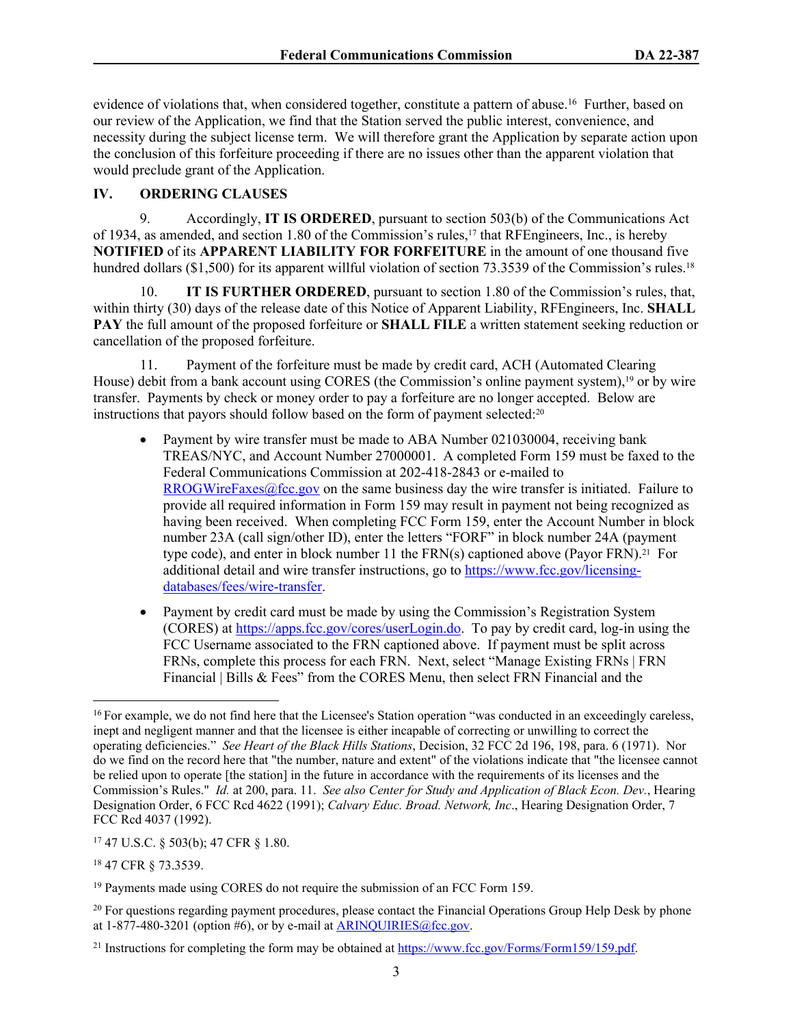evidence of violations that, when considered together, constitute a pattern of abuse.<sup>16</sup> Further, based on our review of the Application, we find that the Station served the public interest, convenience, and necessity during the subject license term. We will therefore grant the Application by separate action upon the conclusion of this forfeiture proceeding if there are no issues other than the apparent violation that would preclude grant of the Application.

# **IV. ORDERING CLAUSES**

9. Accordingly, **IT IS ORDERED**, pursuant to section 503(b) of the Communications Act of 1934, as amended, and section 1.80 of the Commission's rules,17 that RFEngineers, Inc., is hereby **NOTIFIED** of its **APPARENT LIABILITY FOR FORFEITURE** in the amount of one thousand five hundred dollars (\$1,500) for its apparent willful violation of section 73.3539 of the Commission's rules.<sup>18</sup>

10. **IT IS FURTHER ORDERED**, pursuant to section 1.80 of the Commission's rules, that, within thirty (30) days of the release date of this Notice of Apparent Liability, RFEngineers, Inc. **SHALL PAY** the full amount of the proposed forfeiture or **SHALL FILE** a written statement seeking reduction or cancellation of the proposed forfeiture.

11. Payment of the forfeiture must be made by credit card, ACH (Automated Clearing House) debit from a bank account using CORES (the Commission's online payment system),<sup>19</sup> or by wire transfer. Payments by check or money order to pay a forfeiture are no longer accepted. Below are instructions that payors should follow based on the form of payment selected:<sup>20</sup>

- Payment by wire transfer must be made to ABA Number 021030004, receiving bank TREAS/NYC, and Account Number 27000001. A completed Form 159 must be faxed to the Federal Communications Commission at 202-418-2843 or e-mailed to [RROGWireFaxes@fcc.gov](mailto:RROGWireFaxes@fcc.gov) on the same business day the wire transfer is initiated. Failure to provide all required information in Form 159 may result in payment not being recognized as having been received. When completing FCC Form 159, enter the Account Number in block number 23A (call sign/other ID), enter the letters "FORF" in block number 24A (payment type code), and enter in block number 11 the  $FRN(s)$  captioned above (Payor  $FRN$ ).<sup>21</sup> For additional detail and wire transfer instructions, go to [https://www.fcc.gov/licensing](https://www.fcc.gov/licensing-databases/fees/wire-transfer)[databases/fees/wire-transfer.](https://www.fcc.gov/licensing-databases/fees/wire-transfer)
- Payment by credit card must be made by using the Commission's Registration System (CORES) at<https://apps.fcc.gov/cores/userLogin.do>. To pay by credit card, log-in using the FCC Username associated to the FRN captioned above. If payment must be split across FRNs, complete this process for each FRN. Next, select "Manage Existing FRNs | FRN Financial | Bills & Fees" from the CORES Menu, then select FRN Financial and the

<sup>17</sup> 47 U.S.C. § 503(b); 47 CFR § 1.80.

<sup>18</sup> 47 CFR § 73.3539.

<sup>&</sup>lt;sup>16</sup> For example, we do not find here that the Licensee's Station operation "was conducted in an exceedingly careless, inept and negligent manner and that the licensee is either incapable of correcting or unwilling to correct the operating deficiencies." *See Heart of the Black Hills Stations*, Decision, 32 FCC 2d 196, 198, para. 6 (1971). Nor do we find on the record here that "the number, nature and extent" of the violations indicate that "the licensee cannot be relied upon to operate [the station] in the future in accordance with the requirements of its licenses and the Commission's Rules." *Id.* at 200, para. 11. *See also Center for Study and Application of Black Econ. Dev.*, Hearing Designation Order, 6 FCC Rcd 4622 (1991); *Calvary Educ. Broad. Network, Inc*., Hearing Designation Order, 7 FCC Rcd 4037 (1992).

<sup>&</sup>lt;sup>19</sup> Payments made using CORES do not require the submission of an FCC Form 159.

<sup>&</sup>lt;sup>20</sup> For questions regarding payment procedures, please contact the Financial Operations Group Help Desk by phone at  $1-877-480-3201$  (option #6), or by e-mail at  $ARINQUIRIES@$ fcc.gov.

<sup>&</sup>lt;sup>21</sup> Instructions for completing the form may be obtained at<https://www.fcc.gov/Forms/Form159/159.pdf>.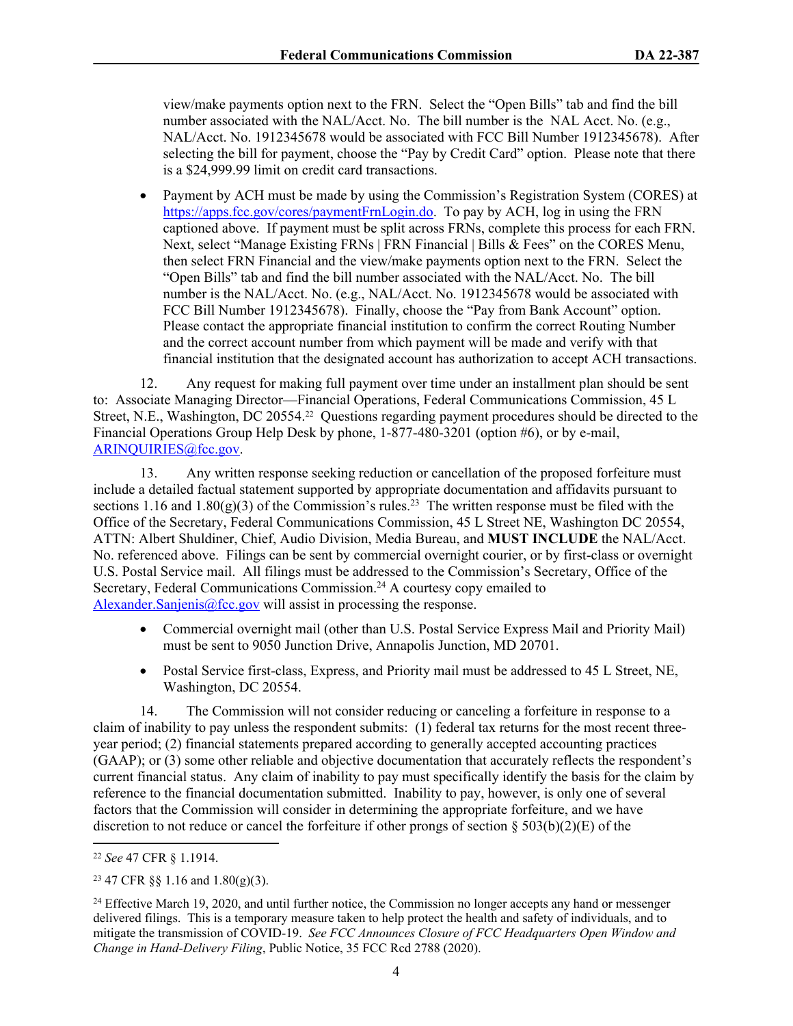view/make payments option next to the FRN. Select the "Open Bills" tab and find the bill number associated with the NAL/Acct. No. The bill number is the NAL Acct. No. (e.g., NAL/Acct. No. 1912345678 would be associated with FCC Bill Number 1912345678). After selecting the bill for payment, choose the "Pay by Credit Card" option. Please note that there is a \$24,999.99 limit on credit card transactions.

 Payment by ACH must be made by using the Commission's Registration System (CORES) at [https://apps.fcc.gov/cores/paymentFrnLogin.do.](https://apps.fcc.gov/cores/paymentFrnLogin.do) To pay by ACH, log in using the FRN captioned above. If payment must be split across FRNs, complete this process for each FRN. Next, select "Manage Existing FRNs | FRN Financial | Bills & Fees" on the CORES Menu, then select FRN Financial and the view/make payments option next to the FRN. Select the "Open Bills" tab and find the bill number associated with the NAL/Acct. No. The bill number is the NAL/Acct. No. (e.g., NAL/Acct. No. 1912345678 would be associated with FCC Bill Number 1912345678). Finally, choose the "Pay from Bank Account" option. Please contact the appropriate financial institution to confirm the correct Routing Number and the correct account number from which payment will be made and verify with that financial institution that the designated account has authorization to accept ACH transactions.

12. Any request for making full payment over time under an installment plan should be sent to: Associate Managing Director—Financial Operations, Federal Communications Commission, 45 L Street, N.E., Washington, DC 20554.22 Questions regarding payment procedures should be directed to the Financial Operations Group Help Desk by phone, 1-877-480-3201 (option #6), or by e-mail, [ARINQUIRIES@fcc.gov](mailto:ARINQUIRIES@fcc.gov).

13. Any written response seeking reduction or cancellation of the proposed forfeiture must include a detailed factual statement supported by appropriate documentation and affidavits pursuant to sections 1.16 and 1.80(g)(3) of the Commission's rules.<sup>23</sup> The written response must be filed with the Office of the Secretary, Federal Communications Commission, 45 L Street NE, Washington DC 20554, ATTN: Albert Shuldiner, Chief, Audio Division, Media Bureau, and **MUST INCLUDE** the NAL/Acct. No. referenced above. Filings can be sent by commercial overnight courier, or by first-class or overnight U.S. Postal Service mail. All filings must be addressed to the Commission's Secretary, Office of the Secretary, Federal Communications Commission.<sup>24</sup> A courtesy copy emailed to [Alexander.Sanjenis@fcc.gov](mailto:Alexander.Sanjenis@fcc.gov) will assist in processing the response.

- Commercial overnight mail (other than U.S. Postal Service Express Mail and Priority Mail) must be sent to 9050 Junction Drive, Annapolis Junction, MD 20701.
- Postal Service first-class, Express, and Priority mail must be addressed to 45 L Street, NE, Washington, DC 20554.

14. The Commission will not consider reducing or canceling a forfeiture in response to a claim of inability to pay unless the respondent submits: (1) federal tax returns for the most recent threeyear period; (2) financial statements prepared according to generally accepted accounting practices (GAAP); or (3) some other reliable and objective documentation that accurately reflects the respondent's current financial status. Any claim of inability to pay must specifically identify the basis for the claim by reference to the financial documentation submitted. Inability to pay, however, is only one of several factors that the Commission will consider in determining the appropriate forfeiture, and we have discretion to not reduce or cancel the forfeiture if other prongs of section § 503(b)(2)(E) of the

<sup>22</sup> *See* 47 CFR § 1.1914.

<sup>23</sup> 47 CFR §§ 1.16 and 1.80(g)(3).

<sup>&</sup>lt;sup>24</sup> Effective March 19, 2020, and until further notice, the Commission no longer accepts any hand or messenger delivered filings. This is a temporary measure taken to help protect the health and safety of individuals, and to mitigate the transmission of COVID-19. *See FCC Announces Closure of FCC Headquarters Open Window and Change in Hand-Delivery Filing*, Public Notice, 35 FCC Rcd 2788 (2020).